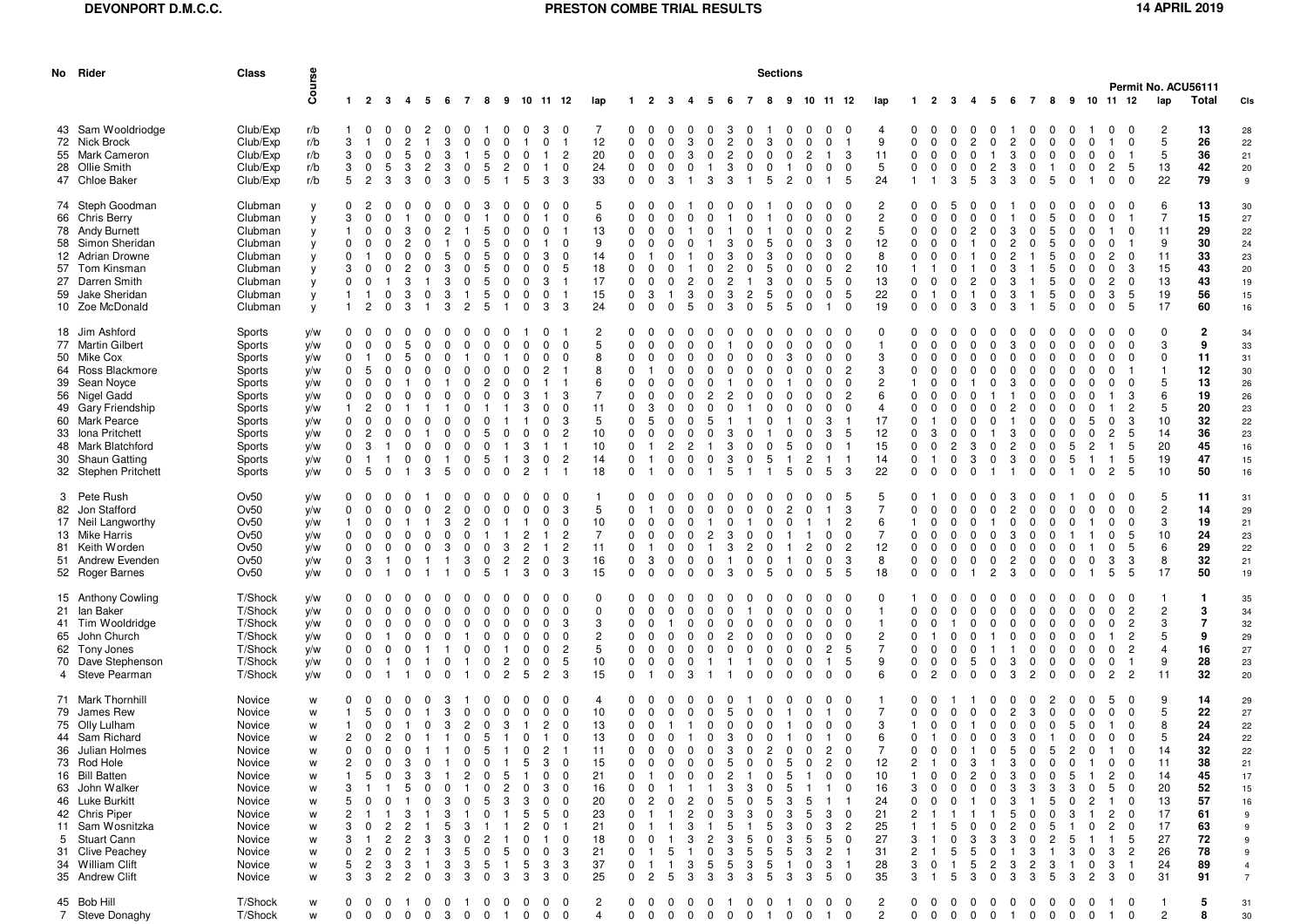## **DEVONPORT D.M.C.C.**

## **PRESTON COMBE TRIAL RESULTS** 14 APRIL 2019

| No Rider                                                                                                                                                                                                                                                                          | <b>Class</b>                                                                                                                                       |                                                                                  |                                                                          |                                                                                  |                                                                                                                                                                       |                                              |                                                                |                                                                 |                                                                   |                                                                                                         |                                                                                                                                |                                                                                    |                                                                                                    |                                                                                                                                                    |                                                                        |                                              | <b>Sections</b><br>Permit No. ACU56111 |                                                              |                                                                     |                                                                                                                                                                           |                                                                |                                                                            |                                                                                             |                                                                                                                       |                                                                                                 |                                                           |                                                      |                                                                                                                                    |                                                                                                                              |                                                            |                                                                               |                                                                         |                                                                            |                                                                                 |                                                                                                                                                                                                                  |                                                                                        |                                                                                          |                                                                      |
|-----------------------------------------------------------------------------------------------------------------------------------------------------------------------------------------------------------------------------------------------------------------------------------|----------------------------------------------------------------------------------------------------------------------------------------------------|----------------------------------------------------------------------------------|--------------------------------------------------------------------------|----------------------------------------------------------------------------------|-----------------------------------------------------------------------------------------------------------------------------------------------------------------------|----------------------------------------------|----------------------------------------------------------------|-----------------------------------------------------------------|-------------------------------------------------------------------|---------------------------------------------------------------------------------------------------------|--------------------------------------------------------------------------------------------------------------------------------|------------------------------------------------------------------------------------|----------------------------------------------------------------------------------------------------|----------------------------------------------------------------------------------------------------------------------------------------------------|------------------------------------------------------------------------|----------------------------------------------|----------------------------------------|--------------------------------------------------------------|---------------------------------------------------------------------|---------------------------------------------------------------------------------------------------------------------------------------------------------------------------|----------------------------------------------------------------|----------------------------------------------------------------------------|---------------------------------------------------------------------------------------------|-----------------------------------------------------------------------------------------------------------------------|-------------------------------------------------------------------------------------------------|-----------------------------------------------------------|------------------------------------------------------|------------------------------------------------------------------------------------------------------------------------------------|------------------------------------------------------------------------------------------------------------------------------|------------------------------------------------------------|-------------------------------------------------------------------------------|-------------------------------------------------------------------------|----------------------------------------------------------------------------|---------------------------------------------------------------------------------|------------------------------------------------------------------------------------------------------------------------------------------------------------------------------------------------------------------|----------------------------------------------------------------------------------------|------------------------------------------------------------------------------------------|----------------------------------------------------------------------|
|                                                                                                                                                                                                                                                                                   |                                                                                                                                                    | Course                                                                           | $1\quad 2$                                                               |                                                                                  | $\mathbf{3}$<br>$\overline{4}$                                                                                                                                        | 5                                            | 6                                                              | $\overline{7}$                                                  | 8                                                                 |                                                                                                         |                                                                                                                                | 9 10 11 12                                                                         | lap                                                                                                | $\mathbf{1}$                                                                                                                                       | 2 3                                                                    |                                              | 4                                      | 5                                                            | - 6<br>7                                                            | 8                                                                                                                                                                         |                                                                |                                                                            | 9 10 11 12                                                                                  |                                                                                                                       | lap                                                                                             | $\mathbf{1}$                                              | $\overline{2}$<br>$\mathbf{3}$                       | -4                                                                                                                                 | 5 <sub>5</sub>                                                                                                               | 6                                                          | 78                                                                            |                                                                         |                                                                            |                                                                                 | 9 10 11 12                                                                                                                                                                                                       | lap                                                                                    | Total                                                                                    | Cls                                                                  |
| 43 Sam Wooldriodge<br>72 Nick Brock<br>55 Mark Cameron<br>28 Ollie Smith<br>47 Chloe Baker                                                                                                                                                                                        | Club/Exp<br>Club/Exp<br>Club/Exp<br>Club/Exp<br>Club/Exp                                                                                           | r/b<br>r/b<br>r/b<br>r/b<br>r/b                                                  | 3<br>3<br>3<br>5                                                         | $\Omega$<br>$\mathbf 0$<br>$\mathbf 0$<br>$\overline{2}$                         | $\Omega$<br>$\Omega$<br>2<br>$\Omega$<br>5<br>5<br>3<br>3<br>3                                                                                                        | 2<br>$\mathbf 0$<br>2<br>0                   | 3<br>3<br>3<br>3                                               | O<br>0<br>0                                                     | $\Omega$<br>5<br>5<br>5                                           | <sup>0</sup><br>$\mathbf 0$<br>$\mathbf 0$<br>2<br>0<br>5                                               | 3<br>0<br>3                                                                                                                    | 0<br>$\overline{c}$<br>0<br>-3                                                     | 7<br>12<br>20<br>24<br>33                                                                          | $\mathbf{0}$<br>$\mathbf 0$<br>$\mathbf 0$<br>$\mathbf 0$<br>$\mathbf{0}$                                                                          | $\Omega$<br>$\Omega$<br>$\mathbf 0$<br>0<br>0                          | $\Omega$<br>$\Omega$<br>3                    | 3<br>3                                 | $\Omega$<br>$\mathbf 0$<br>3                                 | 3<br>2<br>2<br>3<br>3                                               | <sup>0</sup><br>3<br>$\Omega$<br>0<br>0<br>0<br>0<br>5                                                                                                                    | $\Omega$<br>0<br>2                                             | 0<br>$\mathbf 0$<br>$\overline{c}$<br>0<br>$\mathbf{0}$                    | $\Omega$<br>0<br>$\mathbf{1}$<br>0                                                          | $\Omega$<br>-3<br>$\mathbf 0$<br>-5                                                                                   | 9<br>11<br>5<br>24                                                                              | $\Omega$<br>$\Omega$<br>$\mathbf{1}$                      | $\Omega$<br>$\Omega$<br>$\mathbf 0$<br>$\Omega$      | $\Omega$<br>$\Omega$<br>$\overline{2}$<br>$\mathbf 0$<br>$\Omega$<br>$\Omega$<br>3<br>5                                            | 0<br>$\Omega$<br>$\Omega$<br>$\mathbf 0$<br>$\overline{c}$<br>3                                                              | 2<br>3<br>3<br>3                                           | $\Omega$<br>$\Omega$<br>$\mathbf 0$<br>$\Omega$<br>$\Omega$                   | $\Omega$<br>0<br>5                                                      | $\Omega$<br>0<br>0<br>0                                                    | $\Omega$<br>$\Omega$<br>$\Omega$                                                | $\Omega$<br>$\Omega$<br>5<br>2<br>0<br>$\Omega$                                                                                                                                                                  | 2<br>5<br>5<br>13<br>22                                                                | 13<br>26<br>36<br>42<br>79                                                               | 28<br>22<br>21<br>20<br>9                                            |
| 74 Steph Goodman<br>66 Chris Berry<br>78 Andy Burnett<br>58 Simon Sheridan<br>12 Adrian Drowne<br>57 Tom Kinsman<br>27 Darren Smith<br>59 Jake Sheridan<br>10 Zoe McDonald                                                                                                        | Clubman<br>Clubman<br>Clubman<br>Clubman<br>Clubman<br>Clubman<br>Clubman<br>Clubman<br>Clubman                                                    | y<br>y<br>y<br>y<br>y<br>V<br>y<br>y<br>y                                        | 0<br>3<br>$\Omega$<br>0<br>3<br>$\Omega$<br>$\mathbf{1}$                 | 0<br>0<br>2                                                                      | $\Omega$<br>3<br>$\Omega$<br>3<br>$\Omega$<br>3                                                                                                                       | $\Omega$<br>0                                | 2<br>3<br>3<br>3                                               | O<br>2                                                          | з<br>5<br>5<br>5<br>5<br>5<br>5<br>5                              | $\Omega$<br>$\Omega$<br>$\Omega$<br>0<br>0<br><sup>0</sup>                                              | З<br>3<br>0<br>3                                                                                                               | 0<br>0<br>0<br>$\Omega$<br>5<br>-1<br>3                                            | 5<br>6<br>13<br>9<br>14<br>18<br>17<br>15<br>24                                                    | $\Omega$<br>$\Omega$<br>$\mathbf 0$<br>$\Omega$<br>$\Omega$<br>$\Omega$<br>$\Omega$<br>$\mathbf 0$<br>$\mathbf 0$                                  | $\Omega$<br>$\Omega$<br>-3<br>$\Omega$                                 |                                              | 3<br>5                                 | $\Omega$<br>$\mathbf 0$<br>$\Omega$                          | 3<br>3                                                              | $\Omega$<br>3<br>2<br>5<br>$\Omega$<br>5                                                                                                                                  | $\Omega$<br>0<br>0<br>5                                        | 0<br>$\Omega$<br><sup>0</sup><br><sup>0</sup><br>$\Omega$<br>0<br>$\Omega$ | 0<br>$\Omega$<br>$\Omega$<br>3<br>$\Omega$<br>$\Omega$<br>5<br>0                            | 0<br>$\Omega$<br>$\overline{2}$<br>$\Omega$<br>$\Omega$<br>$\overline{2}$<br>$\Omega$<br>5<br>$\Omega$                | $\overline{2}$<br>$\overline{c}$<br>5<br>12<br>8<br>10<br>13<br>22<br>19                        | O<br><sup>0</sup><br>0<br>$\mathbf{0}$<br>0               | $\Omega$<br>$\Omega$<br>$\overline{1}$<br>0          | 2<br>2<br>0<br>$\Omega$<br>3                                                                                                       | 0<br>0                                                                                                                       | 3<br>3<br>3<br>3                                           | $\Omega$<br>-1                                                                | 5<br>5<br>5<br>5<br>5<br>5<br>5                                         | $\Omega$<br>0<br>$\Omega$<br>0<br>0<br>$\Omega$                            | $\Omega$<br>0<br>$\Omega$                                                       | $\Omega$<br>2<br>0<br>$\Omega$<br>3<br>2<br>0<br>3<br>5<br>5<br>$\Omega$                                                                                                                                         | 6<br>$\overline{7}$<br>11<br>9<br>11<br>15<br>13<br>19<br>17                           | 13<br>15<br>29<br>30<br>33<br>43<br>43<br>56<br>60                                       | 30<br>27<br>22<br>24<br>23<br>20<br>19<br>15<br>16                   |
| 18 Jim Ashford<br>77 Martin Gilbert<br>50 Mike Cox<br>64 Ross Blackmore<br>39 Sean Noyce<br>56 Nigel Gadd<br>49 Gary Friendship<br>60 Mark Pearce<br>33 Iona Pritchett<br>48 Mark Blatchford<br>30 Shaun Gatting<br>32 Stephen Pritchett                                          | Sports<br>Sports<br>Sports<br>Sports<br>Sports<br>Sports<br>Sports<br>Sports<br>Sports<br>Sports<br>Sports<br>Sports                               | y/w<br>y/w<br>y/w<br>y/w<br>y/w<br>y/w<br>y/w<br>y/w<br>y/w<br>y/w<br>y/w<br>y/w | 0<br>$\Omega$<br>0<br>$\Omega$<br>0<br>0<br>0<br>$\Omega$<br>0<br>0<br>0 | - 0<br>5<br>0<br>$\overline{2}$<br>$\Omega$<br>-3<br>- 1<br>- 5                  | $\Omega$<br><sup>0</sup><br>$\mathbf 0$<br>-1                                                                                                                         | $\Omega$<br>0<br>3                           | -5                                                             | O<br>$\Omega$<br>$^{\circ}$                                     | O<br>n<br>5<br>5<br>$\Omega$                                      | 3<br>3<br>3<br>$\overline{2}$<br>$\mathbf 0$                                                            | $\Omega$<br>2<br>0<br>$\mathbf{1}$                                                                                             | $\Omega$<br>3<br>$\Omega$<br>3<br>$\overline{2}$<br>$\overline{c}$<br>-1           | $\overline{c}$<br>5<br>8<br>8<br>6<br>$\overline{7}$<br>11<br>5<br>10<br>10<br>14<br>18            | $\Omega$<br>$\Omega$<br>$\Omega$<br>$\Omega$<br>$\Omega$<br>$\Omega$<br>$\Omega$<br>$\Omega$<br>$\Omega$<br>$\Omega$<br>$\mathbf 0$<br>$\mathbf 0$ | 3<br>$\overline{1}$                                                    | $\overline{2}$<br>$\Omega$<br>$\mathbf 0$    | $\Omega$<br>0                          | <sup>0</sup><br>$\mathbf 0$<br>$\mathbf{1}$                  | 3<br>3<br>5<br>- 1                                                  | 0<br>$\Omega$<br>0<br>5                                                                                                                                                   | 5<br>5                                                         | <sup>0</sup><br>O<br><sup>0</sup><br>0<br>2<br>$\mathbf 0$                 | $\Omega$<br>$\Omega$<br>$\Omega$<br>0<br>0<br>$\Omega$<br>3<br>3<br>$\Omega$<br>-1<br>5     | - 0<br>$\Omega$<br>$\Omega$<br>$\overline{2}$<br>$\Omega$<br>$\overline{2}$<br>$\Omega$<br>-5<br>$\mathbf{1}$<br>-3   | $\Omega$<br>-1<br>3<br>3<br>$\overline{2}$<br>6<br>$\overline{4}$<br>17<br>12<br>15<br>14<br>22 | O<br>$\Omega$<br>$\Omega$<br>0<br>$\mathbf{0}$            | 3<br>$\overline{0}$                                  | 3<br>$\Omega$<br>3<br>$\Omega$                                                                                                     | 0<br>0<br>-1                                                                                                                 | 2<br>3                                                     | 0<br>0<br>$\mathbf 0$                                                         | 0<br>0<br>0                                                             | 0<br>5<br>5<br>$\mathbf{1}$                                                | 5<br>2<br>-1<br>$\mathbf 0$                                                     | $\Omega$<br><sup>0</sup><br>0<br>З<br>2<br>3<br><sup>0</sup><br>$\overline{2}$<br>5<br>5<br>5<br>$\overline{2}$<br>5                                                                                             | $\Omega$<br>3<br>$\Omega$<br>$\mathbf{1}$<br>5<br>6<br>5<br>10<br>14<br>20<br>19<br>10 | $\overline{\mathbf{2}}$<br>9<br>11<br>12<br>13<br>19<br>20<br>32<br>36<br>45<br>47<br>50 | 34<br>33<br>31<br>30<br>26<br>26<br>23<br>22<br>23<br>16<br>15<br>16 |
| 3 Pete Rush<br>82 Jon Stafford<br>17 Neil Langworthy<br>13 Mike Harris<br>81 Keith Worden<br>51 Andrew Evenden<br>52 Roger Barnes                                                                                                                                                 | Ov50<br>Ov50<br>Ov50<br>Ov50<br>Ov50<br>Ov50<br>Ov50                                                                                               | y/w<br>y/w<br>y/w<br>y/w<br>y/w<br>y/w<br>y/w                                    | $\Omega$<br>0<br>0<br>0<br>0<br>0                                        | - 0<br>0<br>- 0<br>0<br>0<br>-3<br>$\mathbf 0$                                   | $\Omega$<br>$\Omega$<br>$\Omega$                                                                                                                                      | <sup>0</sup><br>0                            | 3                                                              | <sup>0</sup><br>$\Omega$<br>3<br>$\Omega$                       | $\Omega$<br>$\Omega$<br>$\Omega$<br>5                             | $\Omega$<br>0<br>2<br>$\overline{c}$<br>3<br>2<br>3                                                     | <sup>0</sup><br>$\Omega$<br>0<br>$\overline{c}$<br>0<br>$\Omega$                                                               | 0<br>3<br>0<br>$\overline{c}$<br>$\overline{c}$<br>3<br>3                          | -1<br>5<br>10<br>$\overline{7}$<br>11<br>16<br>15                                                  | 0<br>$\Omega$<br>$\mathbf 0$<br>$\Omega$<br>$\Omega$<br>$\Omega$<br>$\mathbf 0$                                                                    | 3<br>0                                                                 | $\Omega$<br>$\Omega$<br>$\Omega$<br>$\Omega$ |                                        | $\Omega$<br>2<br>-1<br>0<br>0                                | $\Omega$<br>3<br>3<br>3                                             | 0<br><sup>0</sup><br>0<br>0<br>2<br>$\Omega$<br>0<br>0<br>0<br>5                                                                                                          | 2<br>$\Omega$                                                  | 0<br>$\Omega$<br>$\overline{c}$<br>$\Omega$<br>0                           | $\Omega$<br>$\mathbf{1}$<br>0<br>0<br>0<br>5                                                | -5<br>3<br>$\overline{2}$<br>$\Omega$<br>$\overline{c}$<br>3<br>-5                                                    | 5<br>$\overline{7}$<br>6<br>$\overline{7}$<br>12<br>8<br>18                                     | $\Omega$<br>O<br>$\Omega$<br>$\mathbf{0}$                 | $\Omega$<br>- 0<br>0<br>$^{\circ}$<br>0              | $\Omega$<br>$\Omega$<br>$\Omega$<br>$\Omega$<br>$\Omega$<br>$\Omega$<br><sup>0</sup>                                               | $\Omega$<br>$\Omega$<br>0<br>$\overline{2}$                                                                                  | 2<br>$\Omega$<br>2<br>3                                    | 0<br>$\Omega$<br>$\Omega$<br>0<br>$\Omega$<br>$\Omega$                        | $\Omega$<br>0<br><sup>0</sup><br>0                                      | $\Omega$<br>0<br>0<br>0                                                    | $\Omega$<br>$\Omega$                                                            | -0<br>$\Omega$<br>0<br>0<br>0<br>5<br>$\Omega$<br>5<br>$\Omega$<br>3<br>-3<br>5<br>-5                                                                                                                            | 5<br>$\overline{c}$<br>3<br>10<br>6<br>8<br>17                                         | 11<br>14<br>19<br>24<br>29<br>32<br>50                                                   | 31<br>29<br>21<br>23<br>22<br>21<br>19                               |
| 15 Anthony Cowling<br>21 Ian Baker<br>41 Tim Wooldridge<br>65 John Church<br>62 Tony Jones<br>70 Dave Stephenson<br>4 Steve Pearman                                                                                                                                               | T/Shock<br>T/Shock<br>T/Shock<br>T/Shock<br>T/Shock<br>T/Shock<br>T/Shock                                                                          | y/w<br>y/w<br>y/w<br>y/w<br>y/w<br>y/w<br>y/w                                    | $\Omega$<br>0<br>0<br>0<br>0<br>0<br>$\mathbf{0}$                        | - 0<br>$\mathbf 0$<br>0<br>$\mathbf 0$<br>$\mathbf 0$<br>$\overline{\mathbf{0}}$ | 0<br>$\Omega$<br>$\Omega$<br>$\Omega$<br>0                                                                                                                            | $\Omega$<br>0                                | 0                                                              | 0<br><sup>0</sup>                                               | $\Omega$<br>0<br>$\Omega$<br>0<br>$\Omega$                        | 0<br>0<br>$\Omega$<br>2<br>0<br>$\overline{2}$<br>5                                                     | $\Omega$<br>$\Omega$<br>0<br>2                                                                                                 | <sup>0</sup><br>$\mathbf 0$<br>3<br>$\Omega$<br>$\overline{c}$<br>5<br>3           | $\Omega$<br>$\mathbf 0$<br>3<br>$\overline{c}$<br>5<br>10<br>15                                    | $\Omega$<br>$\Omega$<br>$\Omega$<br>$\Omega$<br>$\Omega$<br>$\mathbf 0$<br>$\mathbf 0$                                                             | $\Omega$<br>0                                                          | $\Omega$<br><sup>0</sup><br>$\Omega$         | $\Omega$                               | $\Omega$<br>$\Omega$                                         | 0<br>$\Omega$<br>O<br>$\Omega$                                      | 0<br>$\Omega$<br><sup>0</sup><br>0<br>0<br>0                                                                                                                              | <sup>0</sup><br>0                                              | <sup>0</sup><br>$\Omega$<br>0<br>$\Omega$<br>$\Omega$<br>$\Omega$          | <sup>0</sup><br>0<br>$\Omega$<br>$\Omega$<br>$\overline{2}$<br>$\mathbf{1}$<br>$\mathbf 0$  | $\Omega$<br>$\mathbf{0}$<br>$\Omega$<br>$\Omega$<br>5<br>5<br>$\mathbf 0$                                             | $\Omega$<br>-1<br>$\overline{c}$<br>$\overline{7}$<br>9<br>6                                    | $\Omega$<br>$\Omega$<br>$\Omega$<br>$\Omega$              | $\Omega$<br>$\Omega$<br>$^{\circ}$<br>$\overline{2}$ | $\Omega$<br>$\Omega$<br>$\Omega$<br>$\Omega$<br>5<br>$\Omega$                                                                      | 0<br>0<br>$\Omega$                                                                                                           | 0<br>3<br>3                                                | $\Omega$<br>0<br>0<br>2                                                       | $\Omega$<br>$\Omega$<br>0<br>0                                          | 0<br>O<br>$\Omega$<br>0<br>0                                               | $\Omega$<br>$\Omega$<br>$\Omega$                                                | 0<br>2<br>$\overline{c}$<br>2<br>$\overline{c}$<br>$\Omega$<br>0<br>$\overline{c}$<br>$\overline{2}$                                                                                                             | -1<br>$\overline{2}$<br>3<br>5<br>9<br>11                                              | 3<br>$\overline{7}$<br>9<br>16<br>28<br>32                                               | 35<br>34<br>32<br>29<br>27<br>23<br>20                               |
| 71 Mark Thornhill<br>79 James Rew<br>75 Olly Lulham<br>44 Sam Richard<br>36 Julian Holmes<br>73 Rod Hole<br>16 Bill Batten<br>63 John Walker<br>46 Luke Burkitt<br>42 Chris Piper<br>11 Sam Wosnitzka<br>5 Stuart Cann<br>31 Clive Peachey<br>34 William Clift<br>35 Andrew Clift | Novice<br>Novice<br>Novice<br>Novice<br>Novice<br>Novice<br>Novice<br>Novice<br>Novice<br>Novice<br>Novice<br>Novice<br>Novice<br>Novice<br>Novice | W<br>W<br>w<br>W<br>W<br>W<br>W<br>W<br>W<br>W<br>W<br>W<br>W<br>W<br>W          | 2<br>0<br>2<br>5<br>3<br>5<br>3                                          | -5<br>0<br>$^{\circ}$<br>$\mathbf 0$<br>0<br>5<br>2<br>$\overline{c}$<br>3       | $\Omega$<br>$\Omega$<br>2<br>$\mathbf 0$<br>$\mathbf 0$<br>$\mathbf 0$<br>0<br>3<br>$\Omega$<br>3<br>5<br>2<br>$\Omega$<br>3<br>3<br>$\overline{c}$<br>$\overline{c}$ | 0<br>$\mathbf{1}$<br>0<br>3<br>0<br>$\Omega$ | 3<br>3<br>-1<br>1 1 0<br>$\mathbf{1}$<br>0<br>5<br>3<br>3<br>3 | 0<br>2<br>$^{\circ}$<br>0<br>$\overline{2}$<br>3<br>5<br>3<br>3 | $\Omega$<br>0<br>5<br>5<br>0<br>0<br>0<br>5<br>0<br>5<br>$\Omega$ | $\Omega$<br>0<br>3<br>-1<br>$\overline{1}$<br>5<br>5<br>2<br>0<br>3<br>3<br>5<br>2<br>0<br>5<br>3<br>-3 | 0<br>2<br>0<br>$\mathbf{1}$<br>$\mathbf 0$<br>$\overline{2}$<br>3<br>$\Omega$<br>3<br>0<br>5<br>$\Omega$<br>$\Omega$<br>3<br>3 | $\mathbf 0$<br>$\mathbf 0$<br>0<br>-1<br>0<br>0<br>0<br>0<br>0<br>0<br>3<br>3<br>0 | $\overline{4}$<br>10<br>13<br>13<br>11<br>15<br>21<br>16<br>20<br>23<br>21<br>18<br>21<br>37<br>25 | $\Omega$<br>$\Omega$<br>0<br>$\mathbf 0$<br>$\mathbf 0$<br>0<br>$\mathbf 0$<br>$\Omega$<br>0<br>$\Omega$<br>$\Omega$<br>0<br>0<br>0                | $\Omega$<br>0<br>$^{\circ}$<br>$\mathbf 0$<br>0<br>0<br>$\overline{2}$ | $\Omega$<br>$\mathbf 0$<br>0<br>5            | $\mathbf{1}$<br>$0\quad 0\quad 0$<br>0 | $\Omega$<br>0<br>$\mathbf 0$<br>0<br>$\Omega$<br>0<br>5<br>3 | 5<br>0<br>3<br>$\mathbf{3}$<br>5<br>2<br>3<br>5<br>5<br>3<br>5<br>3 | 0<br>$\Omega$<br>0<br>0<br>$\mathbf 0$<br>$\mathbf 0$<br>$\overline{0}$<br>$\overline{2}$<br>0<br>0<br>0<br>3<br>0<br>0<br>5<br>3<br>5<br>5<br>5<br>5<br>3<br>5<br>3<br>5 | -1<br>$\mathbf 0$<br>5<br>5<br>5<br>3<br>3<br>3<br>3<br>5<br>3 | 0<br>0<br>0<br>$\overline{0}$<br>0<br>5<br>5<br>0<br>5<br>3<br>0<br>3      | 0<br>-1<br>$\overline{2}$<br>$\overline{c}$<br>0<br>3<br>3<br>5<br>$\overline{c}$<br>3<br>5 | - 0<br>0<br>$\mathbf{0}$<br>0<br>$\mathbf{0}$<br>0<br>$\Omega$<br>$\Omega$<br>0<br>$\overline{c}$<br>$\mathbf 0$<br>0 | 7<br>3<br>6<br>12<br>10<br>16<br>24<br>21<br>25<br>27<br>31<br>28<br>35                         | 0<br>$\mathbf{0}$<br>2<br>3<br>0<br>2<br>3<br>2<br>3<br>3 | 0<br>$\mathbf{1}$<br>$\mathbf 0$<br>0<br>0<br>0      | $\Omega$<br>$\Omega$<br>$\mathbf 0$<br>$\mathbf 0$<br>$\mathbf 0$<br>$\overline{1}$<br>0<br>$\Omega$<br>0<br>0<br>5<br>0<br>5<br>5 | 0<br>0<br>0<br>$\mathbf 0$<br>$\mathbf 0$<br>3<br>2<br>$\Omega$<br><sup>0</sup><br>5<br>$\overline{c}$<br>5<br>3<br>$\Omega$ | 2<br>$\Omega$<br>3<br>3<br>3<br>3<br>з<br>5<br>2<br>з<br>3 | 3<br>0<br>$\mathbf 0$<br>5 0 5<br>0<br>0<br>3<br>0<br>$\Omega$<br>3<br>2<br>3 | 0<br>0<br>$\overline{1}$<br>0<br><sup>0</sup><br>3<br>5<br>5<br>3<br>-5 | 0<br>5<br>$\mathbf 0$<br>$\overline{c}$<br>0<br>5<br>3<br>0<br>3<br>3<br>3 | $\Omega$<br>$\mathbf 0$<br>$\overline{0}$<br>0<br>2<br>0<br>0<br>$\overline{c}$ | $\Omega$<br>$\Omega$<br>$\Omega$<br>$\mathbf 0$<br>0<br>$\overline{1}$<br>$\Omega$<br>0<br>0<br>2<br>0<br>5<br>0<br>0<br>2<br>0<br>2<br>0<br>5<br>$\overline{c}$<br>3<br>3<br>$\overline{1}$<br>3<br>$\mathbf 0$ | 9<br>5<br>8<br>5<br>14<br>11<br>14<br>20<br>13<br>17<br>17<br>27<br>26<br>24<br>31     | 14<br>22<br>24<br>24<br>32<br>38<br>45<br>52<br>57<br>61<br>63<br>72<br>78<br>89<br>91   | 29<br>27<br>22<br>22<br>22<br>21<br>17<br>15<br>16                   |
| 45 Bob Hill<br>7 Steve Donaghy                                                                                                                                                                                                                                                    | T/Shock<br>T/Shock                                                                                                                                 | W<br>W                                                                           | 0<br>0                                                                   | $\bf{0}$<br>$\overline{\mathbf{0}}$                                              | 0<br>-1<br>$\overline{0}$<br>$\overline{0}$                                                                                                                           | 0<br>$\mathbf 0$                             | 0<br>$\mathbf{3}$                                              | $\overline{0}$                                                  | 0<br>0                                                            | 0<br>0<br>$\overline{1}$                                                                                | 0<br>$\mathbf 0$<br>$\mathbf 0$                                                                                                | 0<br>$\mathbf 0$                                                                   | $\overline{c}$<br>$\overline{4}$                                                                   | 0<br>$\mathbf 0$                                                                                                                                   | 0<br>$\mathbf 0$                                                       | 0<br>$\mathbf 0$                             | $\mathbf{0}$<br>$\mathbf 0$            | 0<br>$\overline{0}$                                          | $\mathbf 0$                                                         | 0<br>0<br>0<br>$\overline{1}$                                                                                                                                             | $\mathbf{0}$                                                   | 0<br>$\overline{0}$                                                        | 0<br>$\overline{1}$                                                                         | -0<br>$\overline{\mathbf{0}}$                                                                                         | $\overline{c}$<br>$\overline{c}$                                                                | 0<br>$0\quad 0$                                           | 0                                                    | 0<br>$\mathbf 0$                                                                                                                   | 0<br>0<br>$\mathbf 0$<br>0                                                                                                   | 0<br>$\mathbf{1}$                                          | 0<br>$\overline{0}$                                                           | 0<br>$\mathbf 0$                                                        | 0<br>$\mathbf 0$                                                           | 0<br>$\overline{0}$                                                             | 0<br>$\overline{1}$<br>0<br>$\overline{1}$                                                                                                                                                                       | -1<br>$\overline{2}$                                                                   | 5<br>8                                                                                   | 31<br>30                                                             |